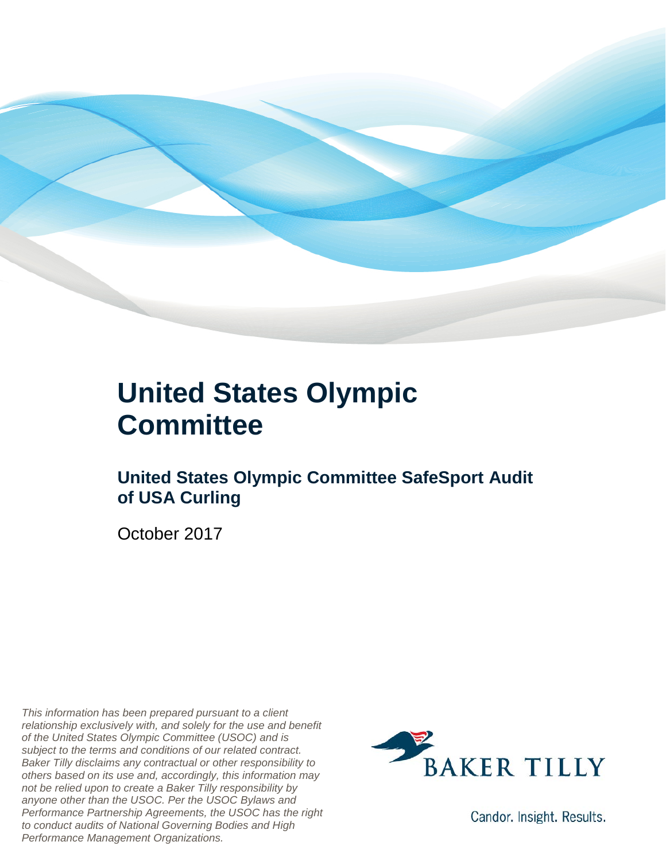

### **United States Olympic Committee**

### **United States Olympic Committee SafeSport Audit of USA Curling**

October 2017

*This information has been prepared pursuant to a client relationship exclusively with, and solely for the use and benefit of the United States Olympic Committee (USOC) and is subject to the terms and conditions of our related contract. Baker Tilly disclaims any contractual or other responsibility to others based on its use and, accordingly, this information may not be relied upon to create a Baker Tilly responsibility by anyone other than the USOC. Per the USOC Bylaws and Performance Partnership Agreements, the USOC has the right to conduct audits of National Governing Bodies and High Performance Management Organizations.*



Candor. Insight. Results.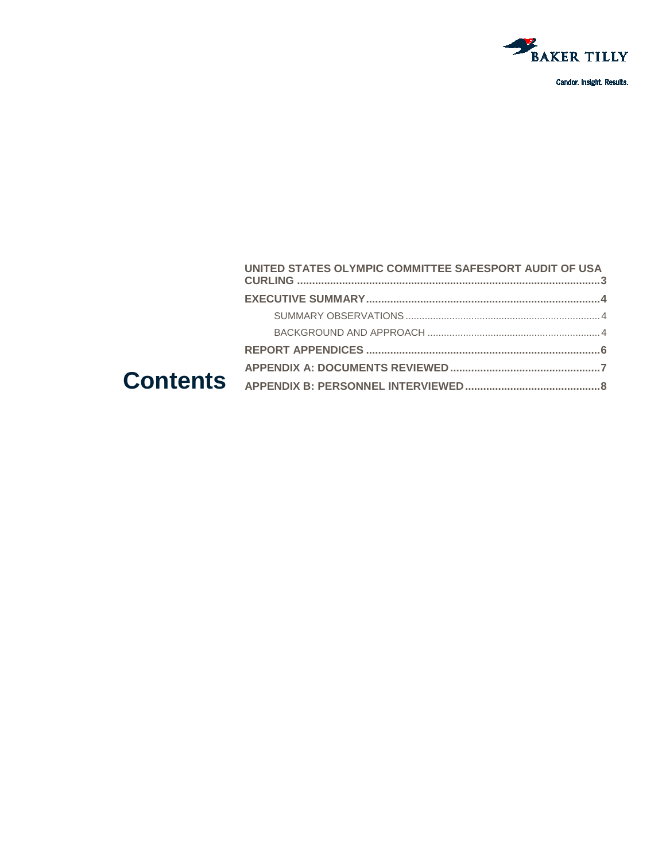

Candor. Insight. Results.

#### UNITED STATES OLYMPIC COMMITTEE SAFESPORT AUDIT OF USA **Contents**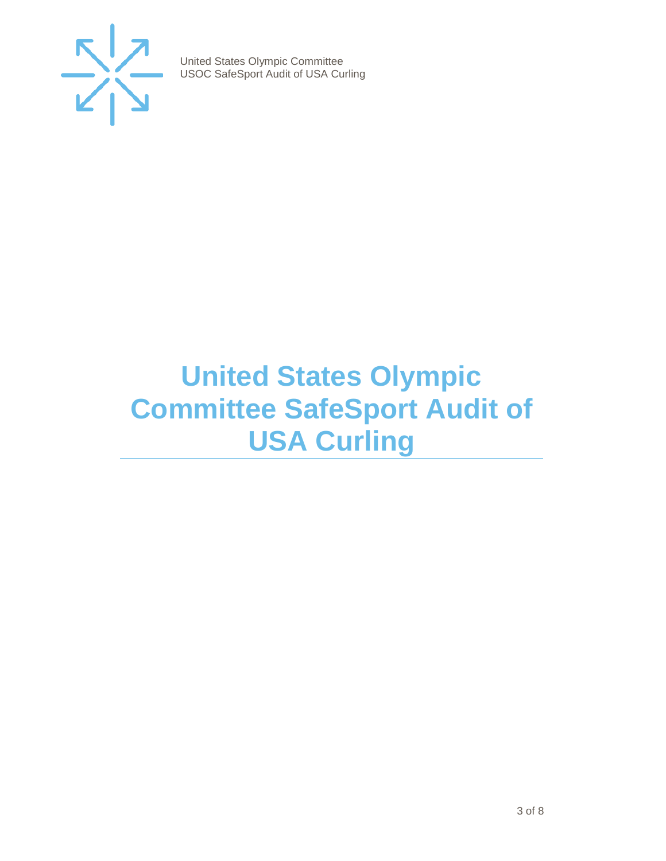

## <span id="page-2-0"></span>**United States Olympic Committee SafeSport Audit of USA Curling**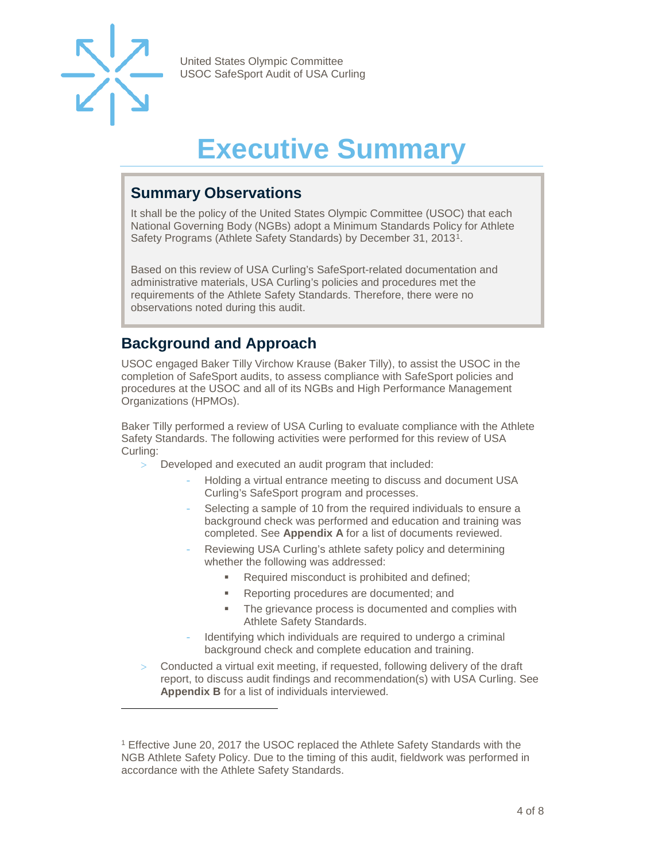

-

United States Olympic Committee USOC SafeSport Audit of USA Curling

## **Executive Summary**

#### <span id="page-3-1"></span><span id="page-3-0"></span>**Summary Observations**

It shall be the policy of the United States Olympic Committee (USOC) that each National Governing Body (NGBs) adopt a Minimum Standards Policy for Athlete Safety Programs (Athlete Safety Standards) by December 31, 2013[1](#page-3-3).

Based on this review of USA Curling's SafeSport-related documentation and administrative materials, USA Curling's policies and procedures met the requirements of the Athlete Safety Standards. Therefore, there were no observations noted during this audit.

#### <span id="page-3-2"></span>**Background and Approach**

USOC engaged Baker Tilly Virchow Krause (Baker Tilly), to assist the USOC in the completion of SafeSport audits, to assess compliance with SafeSport policies and procedures at the USOC and all of its NGBs and High Performance Management Organizations (HPMOs).

Baker Tilly performed a review of USA Curling to evaluate compliance with the Athlete Safety Standards. The following activities were performed for this review of USA Curling:

- > Developed and executed an audit program that included:
	- Holding a virtual entrance meeting to discuss and document USA Curling's SafeSport program and processes.
	- Selecting a sample of 10 from the required individuals to ensure a background check was performed and education and training was completed. See **Appendix A** for a list of documents reviewed.
	- Reviewing USA Curling's athlete safety policy and determining whether the following was addressed:
		- Required misconduct is prohibited and defined;
		- **Reporting procedures are documented; and**
		- **The grievance process is documented and complies with** Athlete Safety Standards.
	- Identifying which individuals are required to undergo a criminal background check and complete education and training.
- Conducted a virtual exit meeting, if requested, following delivery of the draft report, to discuss audit findings and recommendation(s) with USA Curling. See **Appendix B** for a list of individuals interviewed.

<span id="page-3-3"></span><sup>1</sup> Effective June 20, 2017 the USOC replaced the Athlete Safety Standards with the NGB Athlete Safety Policy. Due to the timing of this audit, fieldwork was performed in accordance with the Athlete Safety Standards.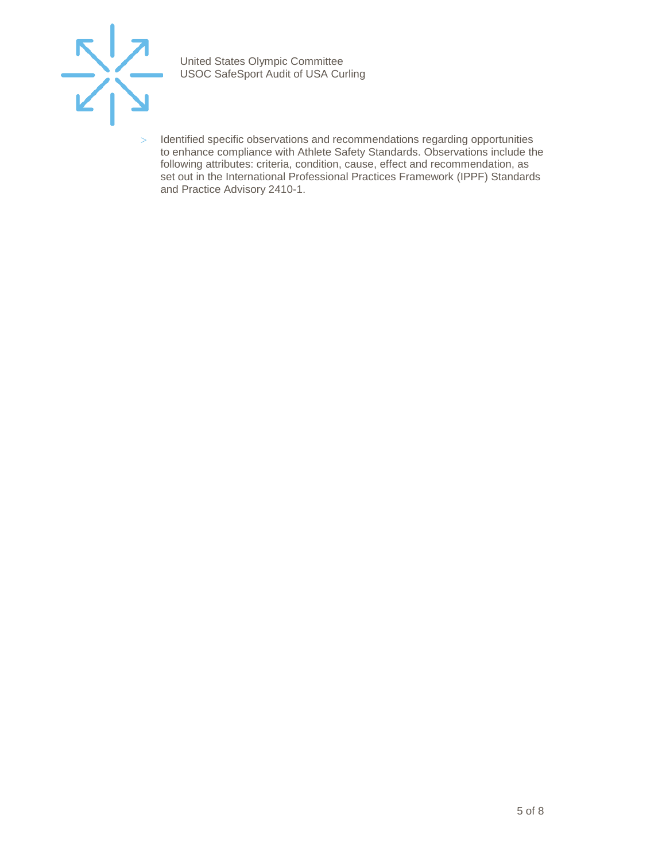

> Identified specific observations and recommendations regarding opportunities to enhance compliance with Athlete Safety Standards. Observations include the following attributes: criteria, condition, cause, effect and recommendation, as set out in the International Professional Practices Framework (IPPF) Standards and Practice Advisory 2410-1.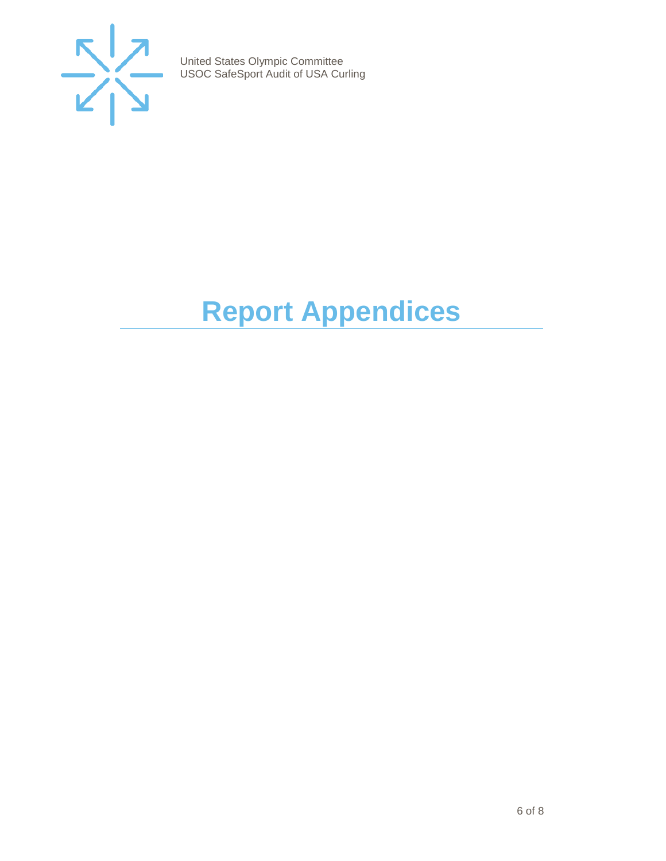

# <span id="page-5-0"></span>**Report Appendices**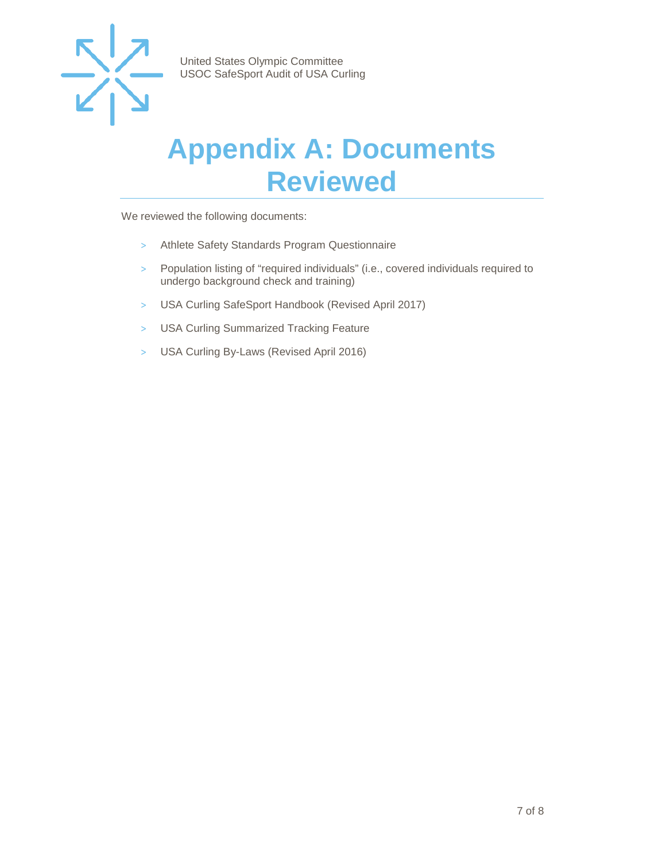

## <span id="page-6-0"></span>**Appendix A: Documents Reviewed**

We reviewed the following documents:

- > Athlete Safety Standards Program Questionnaire
- > Population listing of "required individuals" (i.e., covered individuals required to undergo background check and training)
- > USA Curling SafeSport Handbook (Revised April 2017)
- > USA Curling Summarized Tracking Feature
- > USA Curling By-Laws (Revised April 2016)